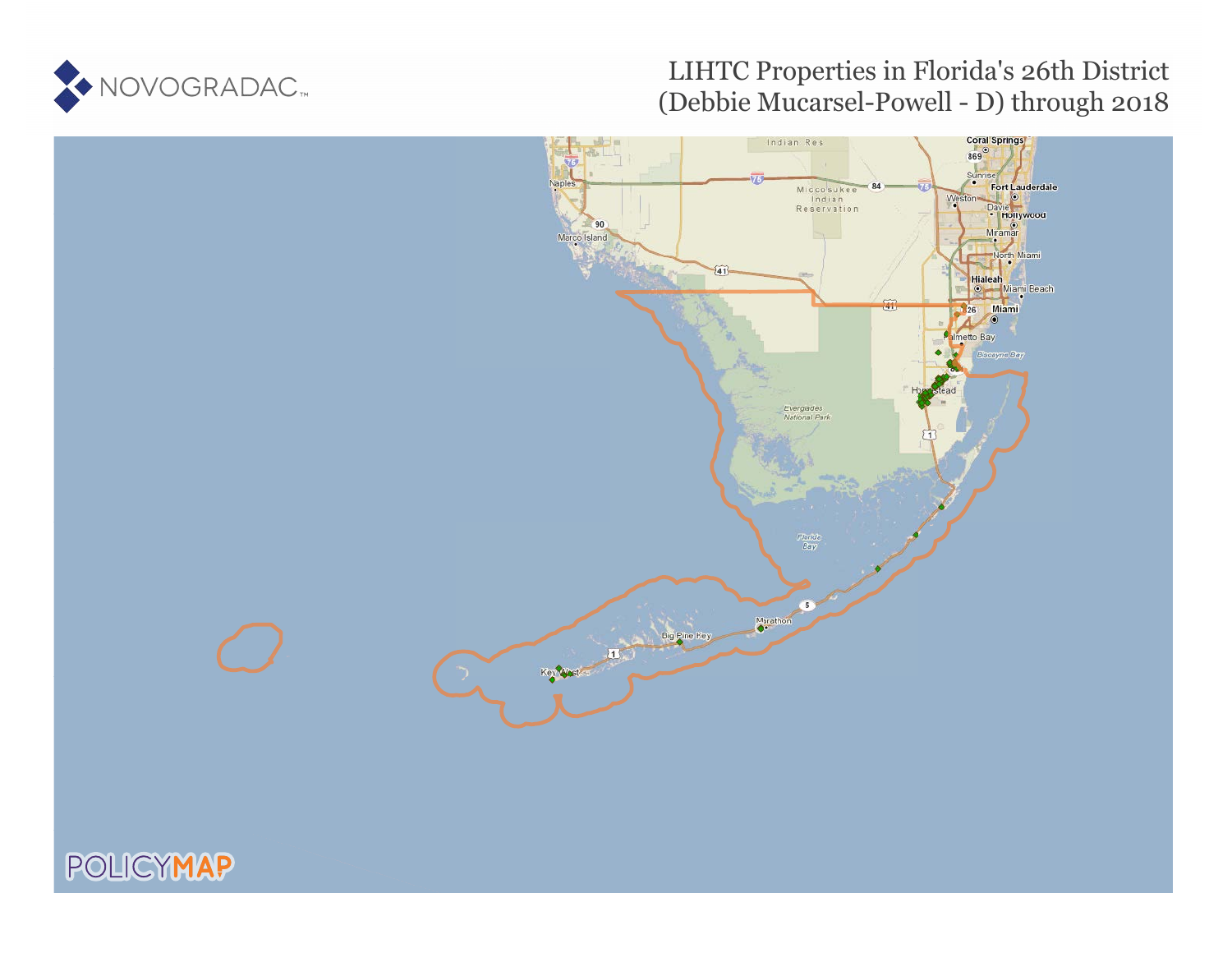

### LIHTC Properties in Florida's 26th District (Debbie Mucarsel-Powell - D) through 2018

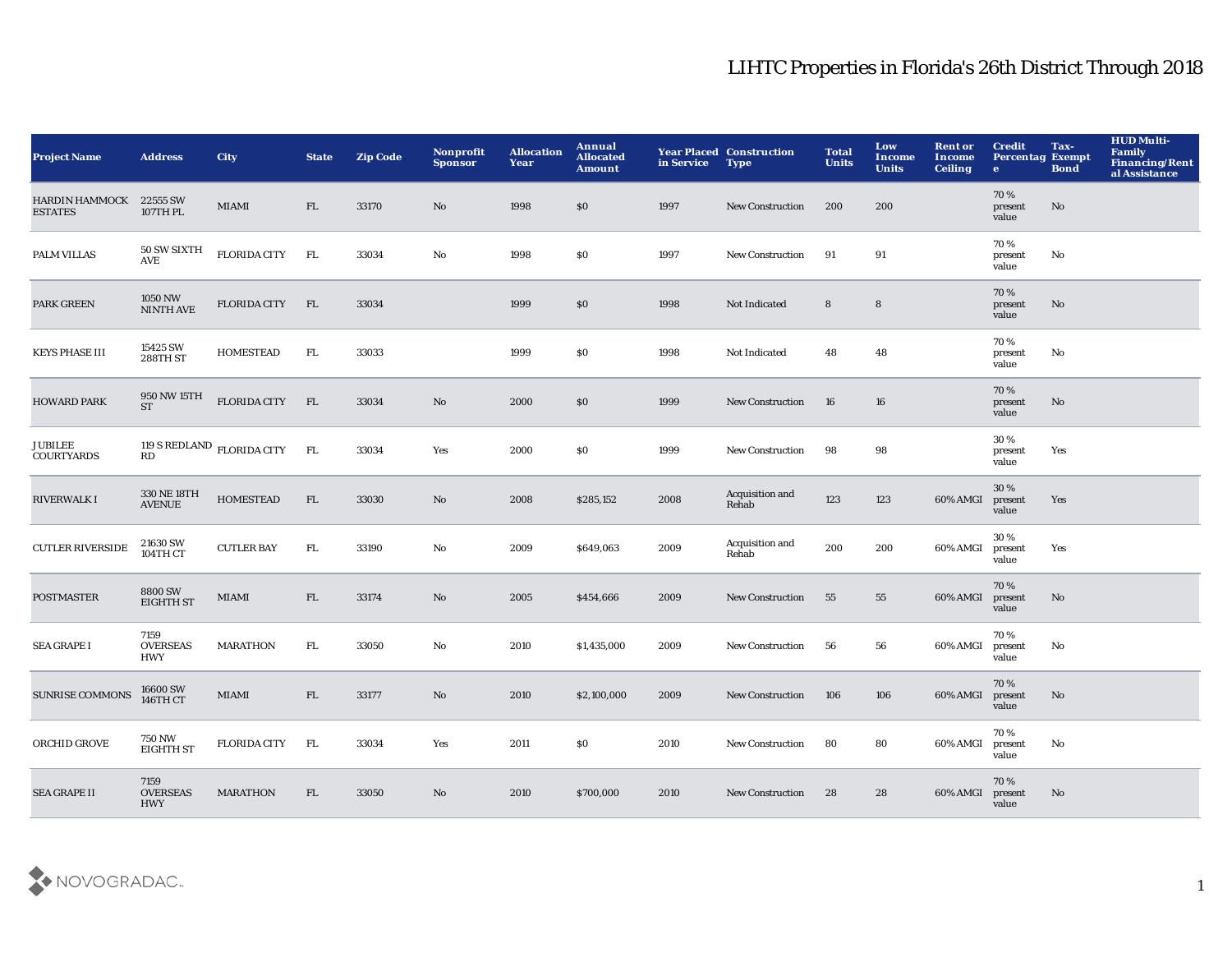| <b>Project Name</b>                       | <b>Address</b>                        | <b>City</b>                         | <b>State</b> | <b>Zip Code</b> | <b>Nonprofit</b><br><b>Sponsor</b> | <b>Allocation</b><br>Year | Annual<br><b>Allocated</b><br><b>Amount</b> | in Service | <b>Year Placed Construction</b><br><b>Type</b> | <b>Total</b><br><b>Units</b> | Low<br>Income<br><b>Units</b> | <b>Rent or</b><br><b>Income</b><br><b>Ceiling</b> | <b>Credit</b><br><b>Percentag Exempt</b><br>$\bullet$ | Tax-<br><b>Bond</b> | <b>HUD Multi-</b><br><b>Family</b><br>Financing/Rent<br>al Assistance |
|-------------------------------------------|---------------------------------------|-------------------------------------|--------------|-----------------|------------------------------------|---------------------------|---------------------------------------------|------------|------------------------------------------------|------------------------------|-------------------------------|---------------------------------------------------|-------------------------------------------------------|---------------------|-----------------------------------------------------------------------|
| HARDIN HAMMOCK 22555 SW<br><b>ESTATES</b> | 107TH PL                              | <b>MIAMI</b>                        | FL           | 33170           | $\mathbf{N}\mathbf{o}$             | 1998                      | \$0                                         | 1997       | <b>New Construction</b>                        | 200                          | 200                           |                                                   | 70%<br>present<br>value                               | No                  |                                                                       |
| PALM VILLAS                               | 50 SW SIXTH<br><b>AVE</b>             | <b>FLORIDA CITY</b>                 | FL           | 33034           | No                                 | 1998                      | \$0                                         | 1997       | New Construction                               | 91                           | 91                            |                                                   | 70%<br>present<br>value                               | No                  |                                                                       |
| PARK GREEN                                | 1050 NW<br>NINTH AVE                  | <b>FLORIDA CITY</b>                 | FL           | 33034           |                                    | 1999                      | \$0                                         | 1998       | Not Indicated                                  | 8                            | ${\bf 8}$                     |                                                   | 70%<br>present<br>value                               | No                  |                                                                       |
| <b>KEYS PHASE III</b>                     | 15425 SW<br>288TH ST                  | <b>HOMESTEAD</b>                    | FL.          | 33033           |                                    | 1999                      | \$0                                         | 1998       | Not Indicated                                  | 48                           | 48                            |                                                   | 70%<br>present<br>value                               | No                  |                                                                       |
| <b>HOWARD PARK</b>                        | 950 NW 15TH<br>ST                     | <b>FLORIDA CITY</b>                 | FL           | 33034           | No                                 | 2000                      | \$0                                         | 1999       | New Construction                               | 16                           | 16                            |                                                   | 70%<br>present<br>value                               | No                  |                                                                       |
| <b>JUBILEE</b><br><b>COURTYARDS</b>       | RD                                    | 119 S REDLAND $_{\rm FLORIDA~CITY}$ | <b>FL</b>    | 33034           | Yes                                | 2000                      | \$0                                         | 1999       | New Construction                               | 98                           | 98                            |                                                   | 30%<br>present<br>value                               | Yes                 |                                                                       |
| <b>RIVERWALK I</b>                        | 330 NE 18TH<br><b>AVENUE</b>          | <b>HOMESTEAD</b>                    | FL           | 33030           | $\rm No$                           | 2008                      | \$285,152                                   | 2008       | Acquisition and<br>Rehab                       | 123                          | 123                           | 60% AMGI                                          | 30 %<br>present<br>value                              | Yes                 |                                                                       |
| <b>CUTLER RIVERSIDE</b>                   | 21630 SW<br>104TH CT                  | <b>CUTLER BAY</b>                   | FL.          | 33190           | No                                 | 2009                      | \$649,063                                   | 2009       | Acquisition and<br>Rehab                       | 200                          | 200                           | 60% AMGI                                          | 30%<br>present<br>value                               | Yes                 |                                                                       |
| <b>POSTMASTER</b>                         | 8800 SW<br><b>EIGHTH ST</b>           | MIAMI                               | FL           | 33174           | $\mathbf{N}\mathbf{o}$             | 2005                      | \$454,666                                   | 2009       | <b>New Construction</b>                        | 55                           | 55                            | 60% AMGI                                          | 70 %<br>present<br>value                              | $\mathbf{No}$       |                                                                       |
| <b>SEA GRAPE I</b>                        | 7159<br><b>OVERSEAS</b><br>HWY        | <b>MARATHON</b>                     | FL.          | 33050           | $\mathbf{N}\mathbf{o}$             | 2010                      | \$1,435,000                                 | 2009       | <b>New Construction</b>                        | 56                           | 56                            | 60% AMGI                                          | 70%<br>present<br>value                               | No                  |                                                                       |
| <b>SUNRISE COMMONS</b>                    | 16600 SW<br>146TH CT                  | MIAMI                               | FL           | 33177           | $\mathbf{N}\mathbf{o}$             | 2010                      | \$2,100,000                                 | 2009       | <b>New Construction</b>                        | 106                          | 106                           | 60% AMGI                                          | 70%<br>present<br>value                               | No                  |                                                                       |
| ORCHID GROVE                              | <b>750 NW</b><br><b>EIGHTH ST</b>     | <b>FLORIDA CITY</b>                 | FL.          | 33034           | Yes                                | 2011                      | <b>SO</b>                                   | 2010       | <b>New Construction</b>                        | 80                           | 80                            | 60% AMGI                                          | 70%<br>present<br>value                               | No                  |                                                                       |
| <b>SEA GRAPE II</b>                       | 7159<br><b>OVERSEAS</b><br><b>HWY</b> | <b>MARATHON</b>                     | FL.          | 33050           | $\mathbf{N}\mathbf{o}$             | 2010                      | \$700,000                                   | 2010       | <b>New Construction</b>                        | 28                           | 28                            | 60% AMGI                                          | 70%<br>present<br>value                               | No                  |                                                                       |

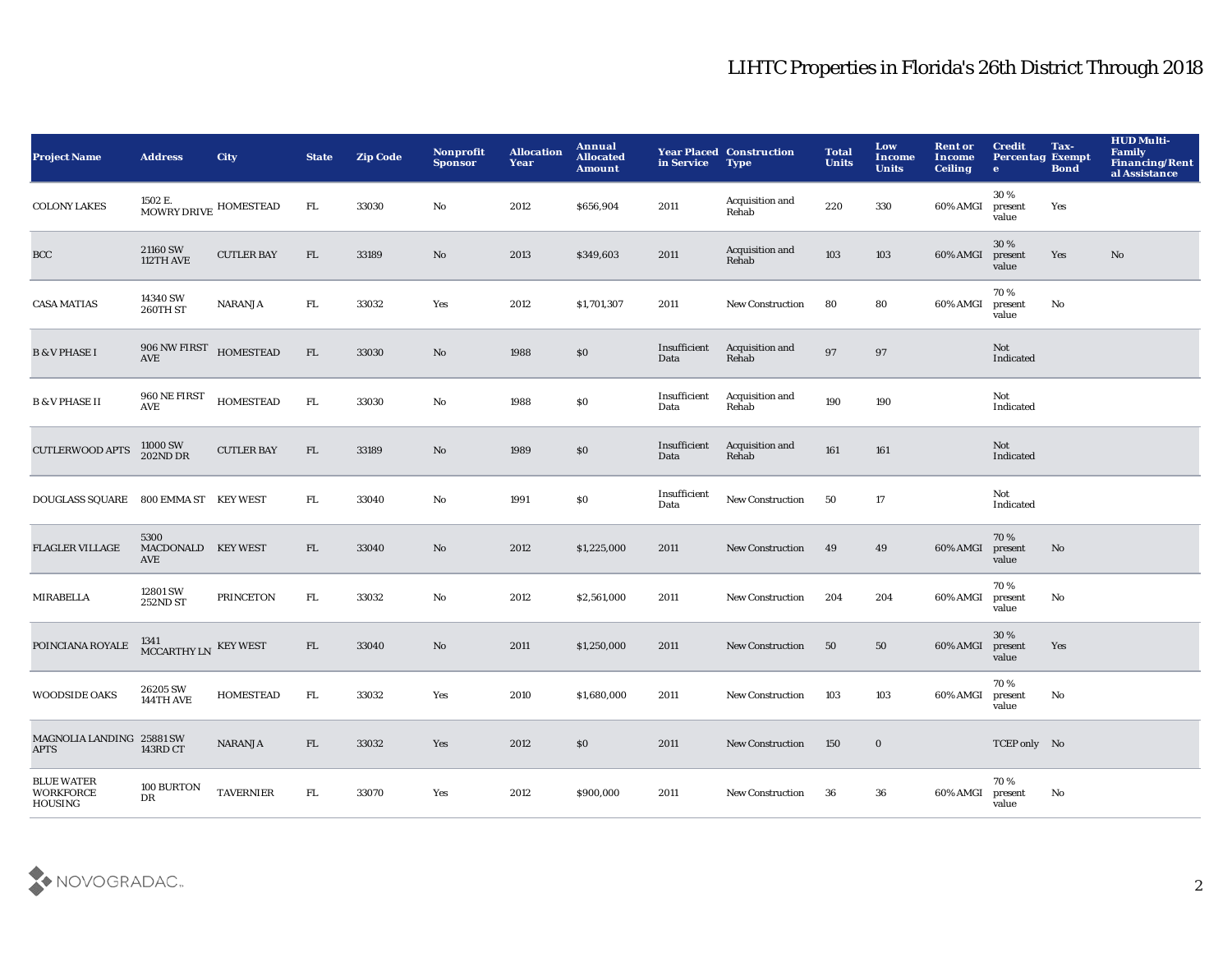| <b>Project Name</b>                              | <b>Address</b>                                | <b>City</b>       | <b>State</b> | <b>Zip Code</b> | Nonprofit<br><b>Sponsor</b> | <b>Allocation</b><br>Year | <b>Annual</b><br><b>Allocated</b><br><b>Amount</b> | in Service           | <b>Year Placed Construction</b><br><b>Type</b> | <b>Total</b><br><b>Units</b> | Low<br>Income<br><b>Units</b> | <b>Rent or</b><br><b>Income</b><br><b>Ceiling</b> | <b>Credit</b><br><b>Percentag Exempt</b><br>$\mathbf{e}$ | Tax-<br><b>Bond</b> | <b>HUD Multi-</b><br>Family<br>Financing/Rent<br>al Assistance |
|--------------------------------------------------|-----------------------------------------------|-------------------|--------------|-----------------|-----------------------------|---------------------------|----------------------------------------------------|----------------------|------------------------------------------------|------------------------------|-------------------------------|---------------------------------------------------|----------------------------------------------------------|---------------------|----------------------------------------------------------------|
| <b>COLONY LAKES</b>                              | 1502 E.<br>MOWRY DRIVE HOMESTEAD              |                   | FL.          | 33030           | $\mathbf{No}$               | 2012                      | \$656,904                                          | 2011                 | Acquisition and<br>Rehab                       | 220                          | 330                           | 60% AMGI                                          | 30%<br>present<br>value                                  | Yes                 |                                                                |
| BCC                                              | 21160 SW<br>112TH AVE                         | <b>CUTLER BAY</b> | FL           | 33189           | No                          | 2013                      | \$349,603                                          | 2011                 | Acquisition and<br>Rehab                       | 103                          | 103                           | 60% AMGI                                          | 30%<br>present<br>value                                  | Yes                 | No                                                             |
| <b>CASA MATIAS</b>                               | 14340 SW<br>260TH ST                          | <b>NARANJA</b>    | ${\rm FL}$   | 33032           | Yes                         | 2012                      | \$1,701,307                                        | 2011                 | <b>New Construction</b>                        | 80                           | 80                            | 60% AMGI                                          | 70%<br>present<br>value                                  | No                  |                                                                |
| <b>B &amp; V PHASE I</b>                         | 906 NW FIRST<br><b>AVE</b>                    | <b>HOMESTEAD</b>  | FL           | 33030           | No                          | 1988                      | \$0                                                | Insufficient<br>Data | Acquisition and<br>Rehab                       | 97                           | 97                            |                                                   | Not<br>Indicated                                         |                     |                                                                |
| <b>B &amp; V PHASE II</b>                        | 960 NE FIRST<br>$\operatorname{\mathbf{AVE}}$ | <b>HOMESTEAD</b>  | ${\rm FL}$   | 33030           | No                          | 1988                      | \$0                                                | Insufficient<br>Data | Acquisition and<br>Rehab                       | 190                          | 190                           |                                                   | Not<br>Indicated                                         |                     |                                                                |
| <b>CUTLERWOOD APTS</b>                           | 11000 SW<br>202ND DR                          | <b>CUTLER BAY</b> | ${\rm FL}$   | 33189           | $\mathbf{N}\mathbf{o}$      | 1989                      | $\$0$                                              | Insufficient<br>Data | Acquisition and<br>Rehab                       | 161                          | 161                           |                                                   | Not<br>Indicated                                         |                     |                                                                |
| DOUGLASS SQUARE 800 EMMA ST KEY WEST             |                                               |                   | FL.          | 33040           | No                          | 1991                      | $\$0$                                              | Insufficient<br>Data | New Construction                               | 50                           | 17                            |                                                   | Not<br>Indicated                                         |                     |                                                                |
| <b>FLAGLER VILLAGE</b>                           | 5300<br>MACDONALD KEY WEST<br>AVE             |                   | FL           | 33040           | No                          | 2012                      | \$1,225,000                                        | 2011                 | <b>New Construction</b>                        | 49                           | 49                            | 60% AMGI                                          | 70%<br>present<br>value                                  | No                  |                                                                |
| <b>MIRABELLA</b>                                 | 12801 SW<br><b>252ND ST</b>                   | <b>PRINCETON</b>  | FL.          | 33032           | No                          | 2012                      | \$2,561,000                                        | 2011                 | <b>New Construction</b>                        | 204                          | 204                           | 60% AMGI                                          | 70%<br>present<br>value                                  | No                  |                                                                |
| POINCIANA ROYALE                                 | 1341<br>MCCARTHY LN KEY WEST                  |                   | FL           | 33040           | No                          | 2011                      | \$1,250,000                                        | 2011                 | New Construction                               | 50                           | 50                            | 60% AMGI                                          | 30%<br>present<br>value                                  | Yes                 |                                                                |
| <b>WOODSIDE OAKS</b>                             | 26205 SW<br>144TH AVE                         | <b>HOMESTEAD</b>  | FL.          | 33032           | Yes                         | 2010                      | \$1,680,000                                        | 2011                 | <b>New Construction</b>                        | 103                          | 103                           | 60% AMGI                                          | 70%<br>present<br>value                                  | No                  |                                                                |
| MAGNOLIA LANDING 25881 SW<br><b>APTS</b>         | 143RD CT                                      | <b>NARANJA</b>    | FL           | 33032           | Yes                         | 2012                      | \$0                                                | 2011                 | <b>New Construction</b>                        | 150                          | $\bf{0}$                      |                                                   | TCEP only No                                             |                     |                                                                |
| <b>BLUE WATER</b><br><b>WORKFORCE</b><br>HOUSING | 100 BURTON<br>DR                              | <b>TAVERNIER</b>  | FL.          | 33070           | Yes                         | 2012                      | \$900,000                                          | 2011                 | <b>New Construction</b>                        | 36                           | 36                            | 60% AMGI                                          | 70%<br>present<br>value                                  | No                  |                                                                |

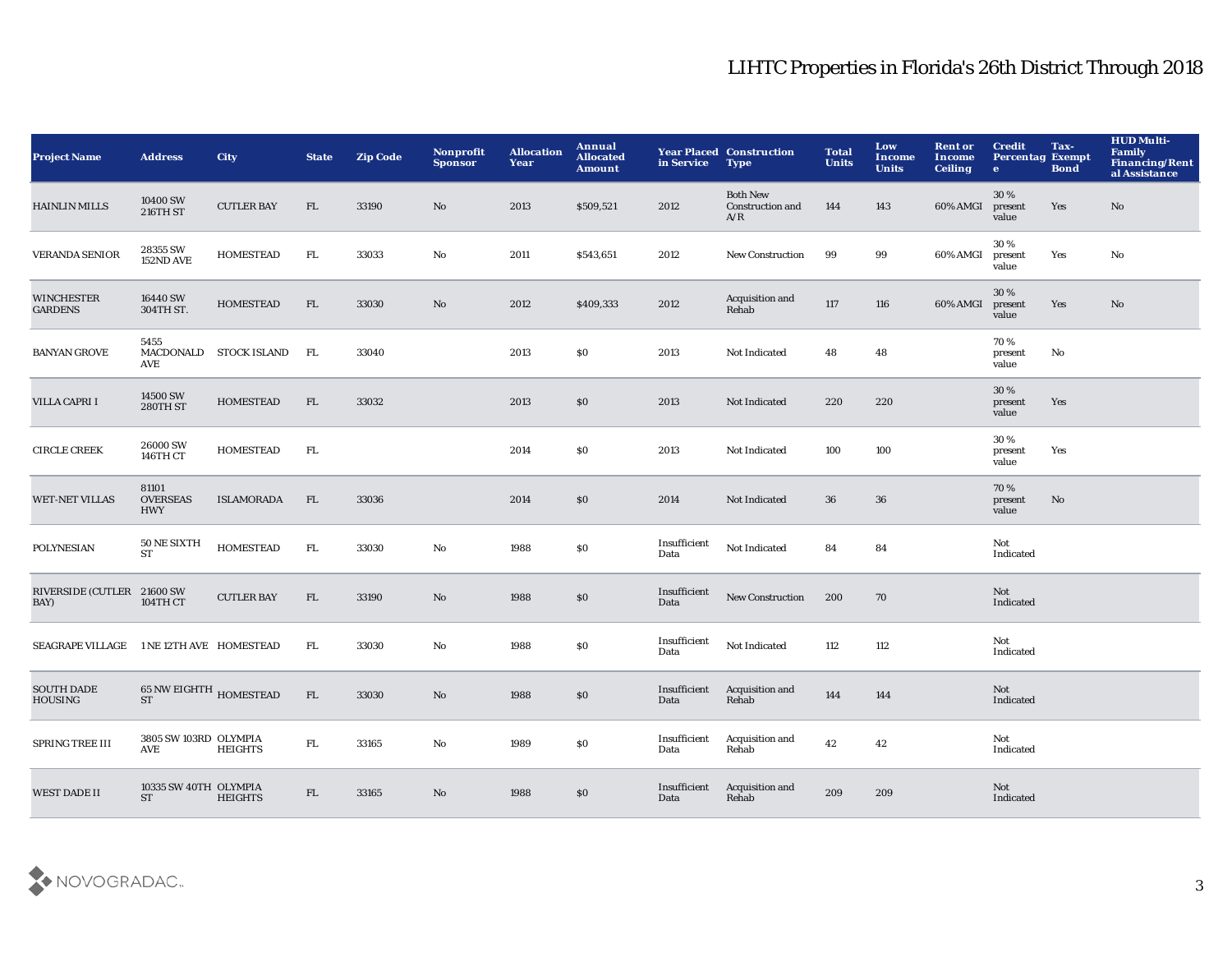| <b>Project Name</b>                      | <b>Address</b>                         | <b>City</b>       | <b>State</b> | <b>Zip Code</b> | Nonprofit<br><b>Sponsor</b> | <b>Allocation</b><br>Year | Annual<br><b>Allocated</b><br><b>Amount</b> | in Service           | <b>Year Placed Construction</b><br><b>Type</b>    | <b>Total</b><br><b>Units</b> | Low<br><b>Income</b><br><b>Units</b> | <b>Rent or</b><br>Income<br><b>Ceiling</b> | <b>Credit</b><br><b>Percentag Exempt</b><br>$\bullet$ | Tax-<br><b>Bond</b> | <b>HUD Multi-</b><br><b>Family</b><br><b>Financing/Rent</b><br>al Assistance |
|------------------------------------------|----------------------------------------|-------------------|--------------|-----------------|-----------------------------|---------------------------|---------------------------------------------|----------------------|---------------------------------------------------|------------------------------|--------------------------------------|--------------------------------------------|-------------------------------------------------------|---------------------|------------------------------------------------------------------------------|
| <b>HAINLIN MILLS</b>                     | 10400 SW<br><b>216TH ST</b>            | <b>CUTLER BAY</b> | FL.          | 33190           | No                          | 2013                      | \$509,521                                   | 2012                 | <b>Both New</b><br><b>Construction and</b><br>A/R | 144                          | 143                                  | 60% AMGI                                   | 30 %<br>present<br>value                              | Yes                 | No                                                                           |
| <b>VERANDA SENIOR</b>                    | 28355 SW<br>152ND AVE                  | <b>HOMESTEAD</b>  | FL.          | 33033           | $\mathbf {No}$              | 2011                      | \$543,651                                   | 2012                 | New Construction                                  | 99                           | 99                                   | 60% AMGI                                   | 30%<br>present<br>value                               | Yes                 | No                                                                           |
| <b>WINCHESTER</b><br><b>GARDENS</b>      | 16440 SW<br>304TH ST.                  | <b>HOMESTEAD</b>  | ${\rm FL}$   | 33030           | $\mathbf{N}\mathbf{o}$      | 2012                      | \$409,333                                   | 2012                 | Acquisition and<br>Rehab                          | 117                          | 116                                  | 60% AMGI                                   | 30%<br>present<br>value                               | Yes                 | No                                                                           |
| <b>BANYAN GROVE</b>                      | 5455<br>MACDONALD<br>AVE               | STOCK ISLAND      | FL.          | 33040           |                             | 2013                      | \$0                                         | 2013                 | Not Indicated                                     | 48                           | 48                                   |                                            | 70%<br>present<br>value                               | No                  |                                                                              |
| VILLA CAPRI I                            | 14500 SW<br>280TH ST                   | <b>HOMESTEAD</b>  | FL           | 33032           |                             | 2013                      | $\$0$                                       | 2013                 | Not Indicated                                     | 220                          | 220                                  |                                            | 30%<br>present<br>value                               | Yes                 |                                                                              |
| <b>CIRCLE CREEK</b>                      | 26000 SW<br>146TH CT                   | <b>HOMESTEAD</b>  | ${\rm FL}$   |                 |                             | 2014                      | S <sub>0</sub>                              | 2013                 | Not Indicated                                     | 100                          | 100                                  |                                            | 30 %<br>present<br>value                              | Yes                 |                                                                              |
| <b>WET-NET VILLAS</b>                    | 81101<br><b>OVERSEAS</b><br><b>HWY</b> | <b>ISLAMORADA</b> | FL           | 33036           |                             | 2014                      | \$0                                         | 2014                 | Not Indicated                                     | 36                           | 36                                   |                                            | 70%<br>present<br>value                               | No                  |                                                                              |
| POLYNESIAN                               | 50 NE SIXTH<br>ST                      | <b>HOMESTEAD</b>  | FL.          | 33030           | $\mathbf{No}$               | 1988                      | \$0\$                                       | Insufficient<br>Data | Not Indicated                                     | 84                           | 84                                   |                                            | Not<br>Indicated                                      |                     |                                                                              |
| RIVERSIDE (CUTLER 21600 SW<br>BAY)       | 104TH CT                               | <b>CUTLER BAY</b> | FL           | 33190           | $\mathbf{N}\mathbf{o}$      | 1988                      | \$0\$                                       | Insufficient<br>Data | New Construction                                  | 200                          | 70                                   |                                            | Not<br>Indicated                                      |                     |                                                                              |
| SEAGRAPE VILLAGE 1 NE 12TH AVE HOMESTEAD |                                        |                   | FL.          | 33030           | $\mathbf{No}$               | 1988                      | \$0                                         | Insufficient<br>Data | Not Indicated                                     | 112                          | 112                                  |                                            | Not<br>Indicated                                      |                     |                                                                              |
| <b>SOUTH DADE</b><br><b>HOUSING</b>      | 65 NW EIGHTH HOMESTEAD<br><b>ST</b>    |                   | FL           | 33030           | No                          | 1988                      | $\$0$                                       | Insufficient<br>Data | Acquisition and<br>Rehab                          | 144                          | 144                                  |                                            | Not<br>Indicated                                      |                     |                                                                              |
| SPRING TREE III                          | 3805 SW 103RD OLYMPIA<br>AVE           | <b>HEIGHTS</b>    | FL.          | 33165           | No                          | 1989                      | S <sub>0</sub>                              | Insufficient<br>Data | Acquisition and<br>Rehab                          | 42                           | 42                                   |                                            | Not<br>Indicated                                      |                     |                                                                              |
| <b>WEST DADE II</b>                      | 10335 SW 40TH OLYMPIA<br><b>ST</b>     | <b>HEIGHTS</b>    | FL.          | 33165           | No                          | 1988                      | \$0                                         | Insufficient<br>Data | Acquisition and<br>Rehab                          | 209                          | 209                                  |                                            | Not<br>Indicated                                      |                     |                                                                              |

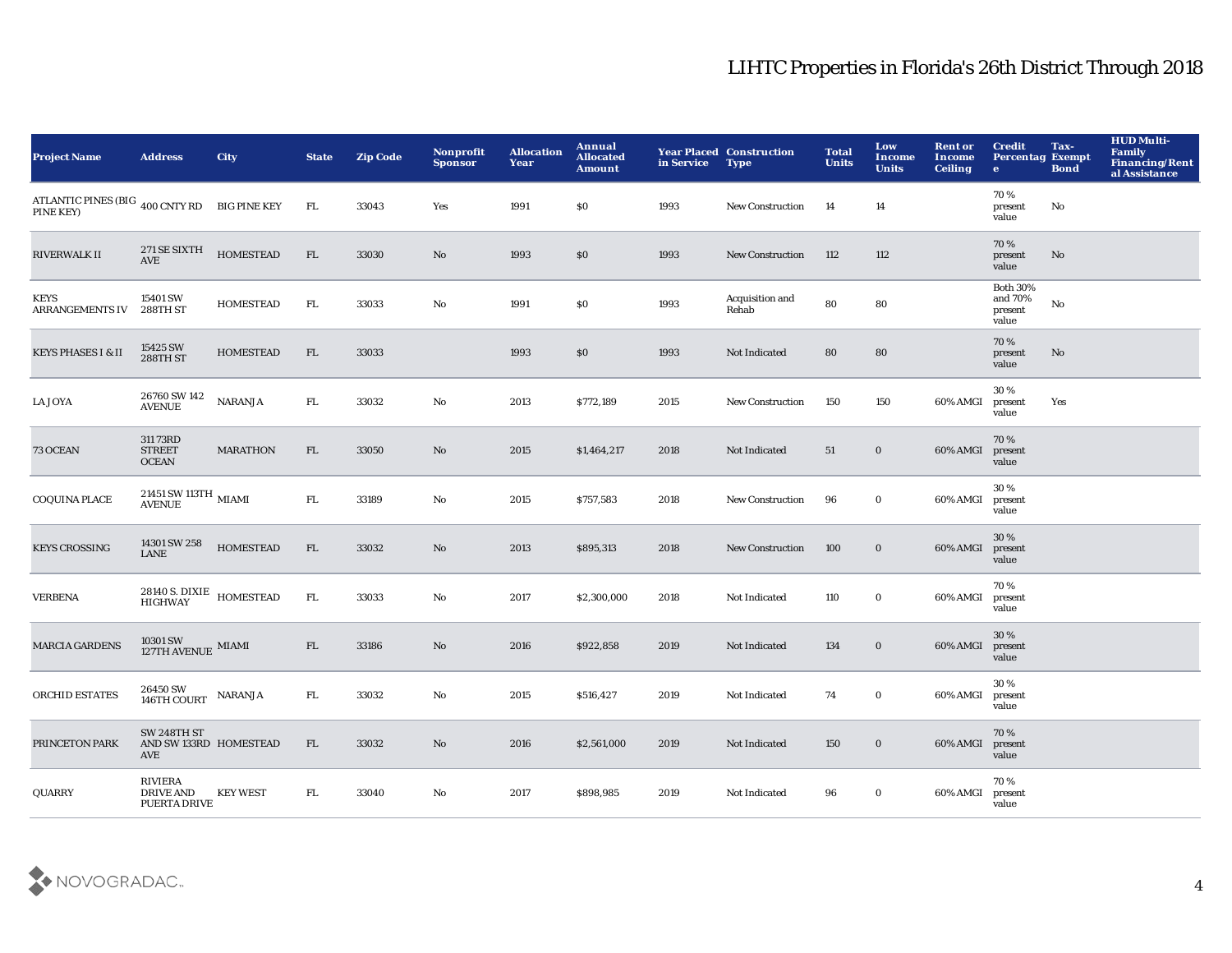| <b>Project Name</b>                                            | <b>Address</b>                                                                                     | City               | <b>State</b> | <b>Zip Code</b> | Nonprofit<br><b>Sponsor</b> | <b>Allocation</b><br>Year | <b>Annual</b><br><b>Allocated</b><br><b>Amount</b> | in Service | <b>Year Placed Construction</b><br><b>Type</b> | <b>Total</b><br><b>Units</b> | Low<br><b>Income</b><br><b>Units</b> | <b>Rent or</b><br><b>Income</b><br><b>Ceiling</b> | <b>Credit</b><br><b>Percentag Exempt</b><br>$\bullet$ | Tax-<br><b>Bond</b>    | <b>HUD Multi-</b><br><b>Family</b><br>Financing/Rent<br>al Assistance |
|----------------------------------------------------------------|----------------------------------------------------------------------------------------------------|--------------------|--------------|-----------------|-----------------------------|---------------------------|----------------------------------------------------|------------|------------------------------------------------|------------------------------|--------------------------------------|---------------------------------------------------|-------------------------------------------------------|------------------------|-----------------------------------------------------------------------|
| ATLANTIC PINES (BIG $_{400}$ CNTY RD BIG PINE KEY<br>PINE KEY) |                                                                                                    |                    | FL.          | 33043           | Yes                         | 1991                      | \$0                                                | 1993       | New Construction                               | -14                          | 14                                   |                                                   | 70%<br>present<br>value                               | No                     |                                                                       |
| <b>RIVERWALK II</b>                                            | 271 SE SIXTH<br><b>AVE</b>                                                                         | <b>HOMESTEAD</b>   | FL           | 33030           | No                          | 1993                      | \$0                                                | 1993       | New Construction                               | 112                          | 112                                  |                                                   | 70%<br>present<br>value                               | $\mathbf{N}\mathbf{o}$ |                                                                       |
| KEYS<br>ARRANGEMENTS IV                                        | 15401 SW<br>288TH ST                                                                               | <b>HOMESTEAD</b>   | ${\rm FL}$   | 33033           | $\mathbf{No}$               | 1991                      | \$0                                                | 1993       | Acquisition and<br>Rehab                       | 80                           | 80                                   |                                                   | <b>Both 30%</b><br>and 70%<br>present<br>value        | No                     |                                                                       |
| <b>KEYS PHASES I &amp; II</b>                                  | 15425 SW<br>288TH ST                                                                               | <b>HOMESTEAD</b>   | ${\rm FL}$   | 33033           |                             | 1993                      | \$0                                                | 1993       | Not Indicated                                  | 80                           | 80                                   |                                                   | 70%<br>present<br>value                               | No                     |                                                                       |
| <b>LA JOYA</b>                                                 | 26760 SW 142<br><b>AVENUE</b>                                                                      | $\mathbf{NARANJA}$ | FL           | 33032           | No                          | 2013                      | \$772,189                                          | 2015       | <b>New Construction</b>                        | 150                          | 150                                  | 60% AMGI                                          | 30%<br>present<br>value                               | Yes                    |                                                                       |
| 73 OCEAN                                                       | 311 73RD<br><b>STREET</b><br><b>OCEAN</b>                                                          | <b>MARATHON</b>    | FL           | 33050           | No                          | 2015                      | \$1,464,217                                        | 2018       | <b>Not Indicated</b>                           | 51                           | $\bf{0}$                             | 60% AMGI                                          | 70%<br>present<br>value                               |                        |                                                                       |
| <b>COQUINA PLACE</b>                                           | 21451 SW 113TH $_{\rm MIAMI}$<br><b>AVENUE</b>                                                     |                    | ${\rm FL}$   | 33189           | No                          | 2015                      | \$757,583                                          | 2018       | <b>New Construction</b>                        | 96                           | $\bf{0}$                             | 60% AMGI                                          | 30%<br>present<br>value                               |                        |                                                                       |
| <b>KEYS CROSSING</b>                                           | 14301 SW 258<br><b>LANE</b>                                                                        | <b>HOMESTEAD</b>   | FL           | 33032           | No                          | 2013                      | \$895,313                                          | 2018       | <b>New Construction</b>                        | 100                          | $\bf{0}$                             | 60% AMGI                                          | 30%<br>present<br>value                               |                        |                                                                       |
| <b>VERBENA</b>                                                 | 28140 S. DIXIE HOMESTEAD<br>HIGHWAY HOMESTEAD                                                      |                    | ${\rm FL}$   | 33033           | No                          | 2017                      | \$2,300,000                                        | 2018       | Not Indicated                                  | 110                          | $\bf{0}$                             | 60% AMGI                                          | 70%<br>present<br>value                               |                        |                                                                       |
| <b>MARCIA GARDENS</b>                                          | $10301\,\mathrm{SW}$ MIAMI $127\mathrm{TH}$ AVENUE $\,$ MIAMI                                      |                    | ${\rm FL}$   | 33186           | No                          | 2016                      | \$922,858                                          | 2019       | Not Indicated                                  | 134                          | $\mathbf 0$                          | 60% AMGI                                          | 30%<br>present<br>value                               |                        |                                                                       |
| <b>ORCHID ESTATES</b>                                          | 26450 SW<br>$\begin{tabular}{ll} \bf{146TH} & \bf{146TH} \\ \bf{146TH} & \bf{COURT} \end{tabular}$ |                    | FL.          | 33032           | No                          | 2015                      | \$516,427                                          | 2019       | Not Indicated                                  | 74                           | $\mathbf 0$                          | 60% AMGI                                          | 30%<br>present<br>value                               |                        |                                                                       |
| PRINCETON PARK                                                 | SW 248TH ST<br>AND SW 133RD HOMESTEAD<br>AVE                                                       |                    | ${\rm FL}$   | 33032           | No                          | 2016                      | \$2,561,000                                        | 2019       | Not Indicated                                  | 150                          | $\mathbf 0$                          | 60% AMGI                                          | 70%<br>present<br>value                               |                        |                                                                       |
| <b>QUARRY</b>                                                  | <b>RIVIERA</b><br><b>DRIVE AND</b><br><b>PUERTA DRIVE</b>                                          | <b>KEY WEST</b>    | ${\rm FL}$   | 33040           | No                          | 2017                      | \$898,985                                          | 2019       | Not Indicated                                  | 96                           | $\bf{0}$                             | 60% AMGI                                          | 70%<br>present<br>value                               |                        |                                                                       |

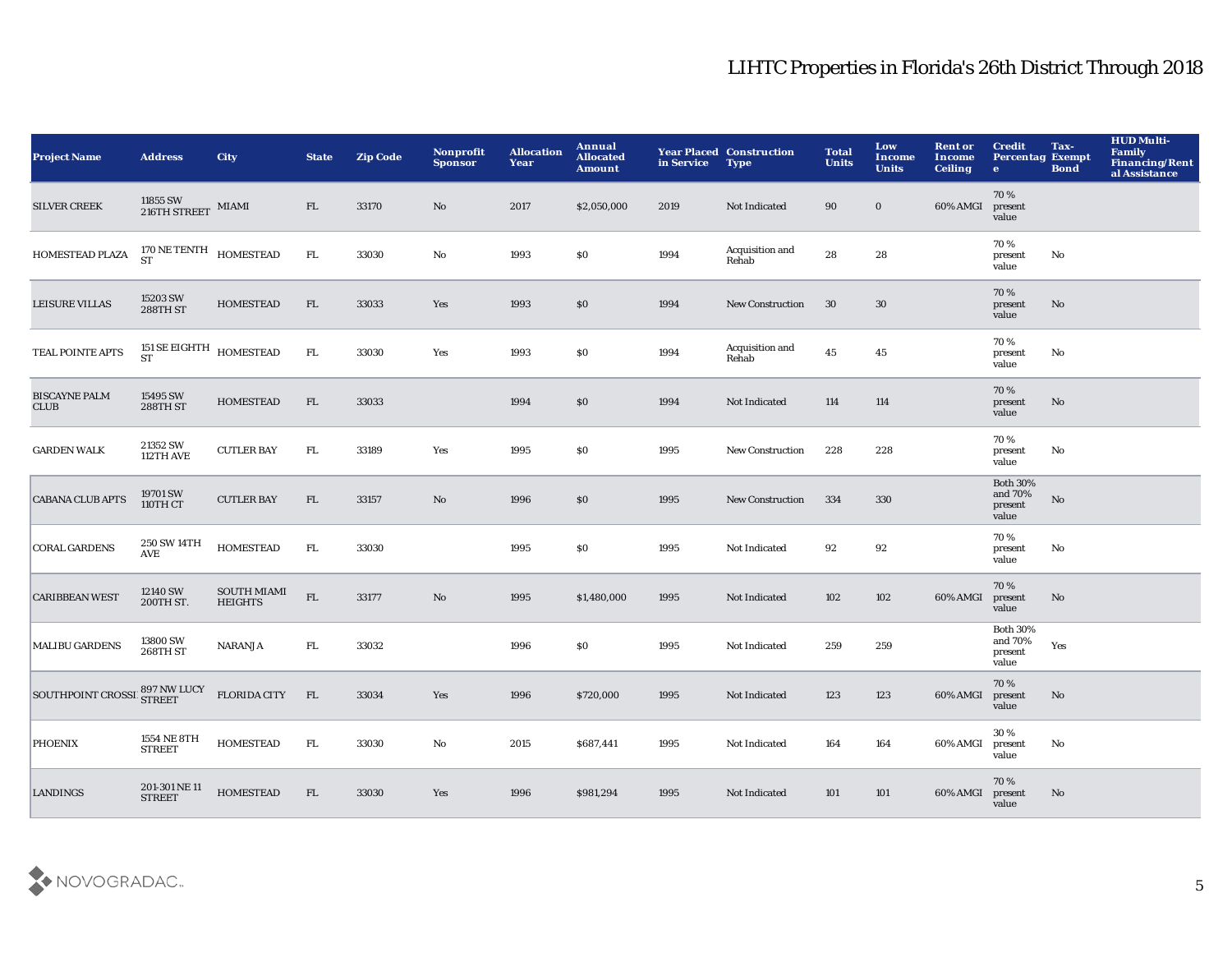| <b>Project Name</b>                 | <b>Address</b>                                  | <b>City</b>                          | <b>State</b> | <b>Zip Code</b> | <b>Nonprofit</b><br><b>Sponsor</b> | <b>Allocation</b><br>Year | <b>Annual</b><br><b>Allocated</b><br><b>Amount</b> | in Service | <b>Year Placed Construction</b><br><b>Type</b> | <b>Total</b><br><b>Units</b> | Low<br>Income<br><b>Units</b> | <b>Rent or</b><br>Income<br><b>Ceiling</b> | <b>Credit</b><br><b>Percentag Exempt</b><br>$\bullet$ | Tax-<br><b>Bond</b> | <b>HUD Multi-</b><br>Family<br>Financing/Rent<br>al Assistance |
|-------------------------------------|-------------------------------------------------|--------------------------------------|--------------|-----------------|------------------------------------|---------------------------|----------------------------------------------------|------------|------------------------------------------------|------------------------------|-------------------------------|--------------------------------------------|-------------------------------------------------------|---------------------|----------------------------------------------------------------|
| <b>SILVER CREEK</b>                 | 11855 SW 216TH STREET MIAMI                     |                                      | FL           | 33170           | $\mathbf{No}$                      | 2017                      | \$2,050,000                                        | 2019       | Not Indicated                                  | 90                           | $\bf{0}$                      | 60% AMGI                                   | 70%<br>present<br>value                               |                     |                                                                |
| HOMESTEAD PLAZA                     | $170\,\mathrm{NE}\,\mathrm{TENTH}$ HOMESTEAD ST |                                      | ${\rm FL}$   | 33030           | $\mathbf {No}$                     | 1993                      | \$0                                                | 1994       | Acquisition and<br>Rehab                       | 28                           | 28                            |                                            | 70%<br>present<br>value                               | No                  |                                                                |
| <b>LEISURE VILLAS</b>               | 15203 SW<br>288TH ST                            | <b>HOMESTEAD</b>                     | FL           | 33033           | Yes                                | 1993                      | \$0                                                | 1994       | New Construction                               | 30                           | 30                            |                                            | 70%<br>present<br>value                               | No                  |                                                                |
| TEAL POINTE APTS                    | 151 SE EIGHTH $$\tt HOMESTEAD$$<br><b>ST</b>    |                                      | ${\rm FL}$   | 33030           | Yes                                | 1993                      | \$0                                                | 1994       | Acquisition and<br>Rehab                       | 45                           | ${\bf 45}$                    |                                            | 70%<br>present<br>value                               | No                  |                                                                |
| <b>BISCAYNE PALM</b><br><b>CLUB</b> | 15495 SW<br>288TH ST                            | <b>HOMESTEAD</b>                     | FL           | 33033           |                                    | 1994                      | \$0                                                | 1994       | Not Indicated                                  | 114                          | 114                           |                                            | 70%<br>present<br>value                               | No                  |                                                                |
| <b>GARDEN WALK</b>                  | 21352 SW<br>112TH AVE                           | <b>CUTLER BAY</b>                    | FL.          | 33189           | Yes                                | 1995                      | \$0                                                | 1995       | New Construction                               | 228                          | 228                           |                                            | 70%<br>present<br>value                               | No                  |                                                                |
| <b>CABANA CLUB APTS</b>             | 19701 SW<br>110TH CT                            | <b>CUTLER BAY</b>                    | FL           | 33157           | $\mathbf {No}$                     | 1996                      | \$0                                                | 1995       | <b>New Construction</b>                        | 334                          | 330                           |                                            | <b>Both 30%</b><br>and 70%<br>present<br>value        | $\mathbf {No}$      |                                                                |
| <b>CORAL GARDENS</b>                | 250 SW 14TH<br>AVE                              | <b>HOMESTEAD</b>                     | FL.          | 33030           |                                    | 1995                      | \$0                                                | 1995       | Not Indicated                                  | 92                           | 92                            |                                            | 70%<br>present<br>value                               | No                  |                                                                |
| <b>CARIBBEAN WEST</b>               | 12140 SW<br>200TH ST.                           | <b>SOUTH MIAMI</b><br><b>HEIGHTS</b> | ${\rm FL}$   | 33177           | $\rm No$                           | 1995                      | \$1,480,000                                        | 1995       | Not Indicated                                  | 102                          | 102                           | 60% AMGI                                   | 70%<br>present<br>value                               | No                  |                                                                |
| <b>MALIBU GARDENS</b>               | 13800 SW<br><b>268TH ST</b>                     | <b>NARANJA</b>                       | FL.          | 33032           |                                    | 1996                      | \$0                                                | 1995       | Not Indicated                                  | 259                          | 259                           |                                            | <b>Both 30%</b><br>and 70%<br>present<br>value        | Yes                 |                                                                |
| SOUTHPOINT CROSSII 897 NW LUCY      |                                                 | <b>FLORIDA CITY</b>                  | FL           | 33034           | Yes                                | 1996                      | \$720,000                                          | 1995       | Not Indicated                                  | 123                          | 123                           | 60% AMGI                                   | 70%<br>present<br>value                               | No                  |                                                                |
| <b>PHOENIX</b>                      | 1554 NE 8TH<br><b>STREET</b>                    | <b>HOMESTEAD</b>                     | FL.          | 33030           | No                                 | 2015                      | \$687,441                                          | 1995       | Not Indicated                                  | 164                          | 164                           | 60% AMGI                                   | 30%<br>present<br>value                               | No                  |                                                                |
| <b>LANDINGS</b>                     | 201-301 NE 11<br><b>STREET</b>                  | <b>HOMESTEAD</b>                     | FL           | 33030           | Yes                                | 1996                      | \$981,294                                          | 1995       | Not Indicated                                  | 101                          | 101                           | 60% AMGI                                   | 70%<br>present<br>value                               | No                  |                                                                |

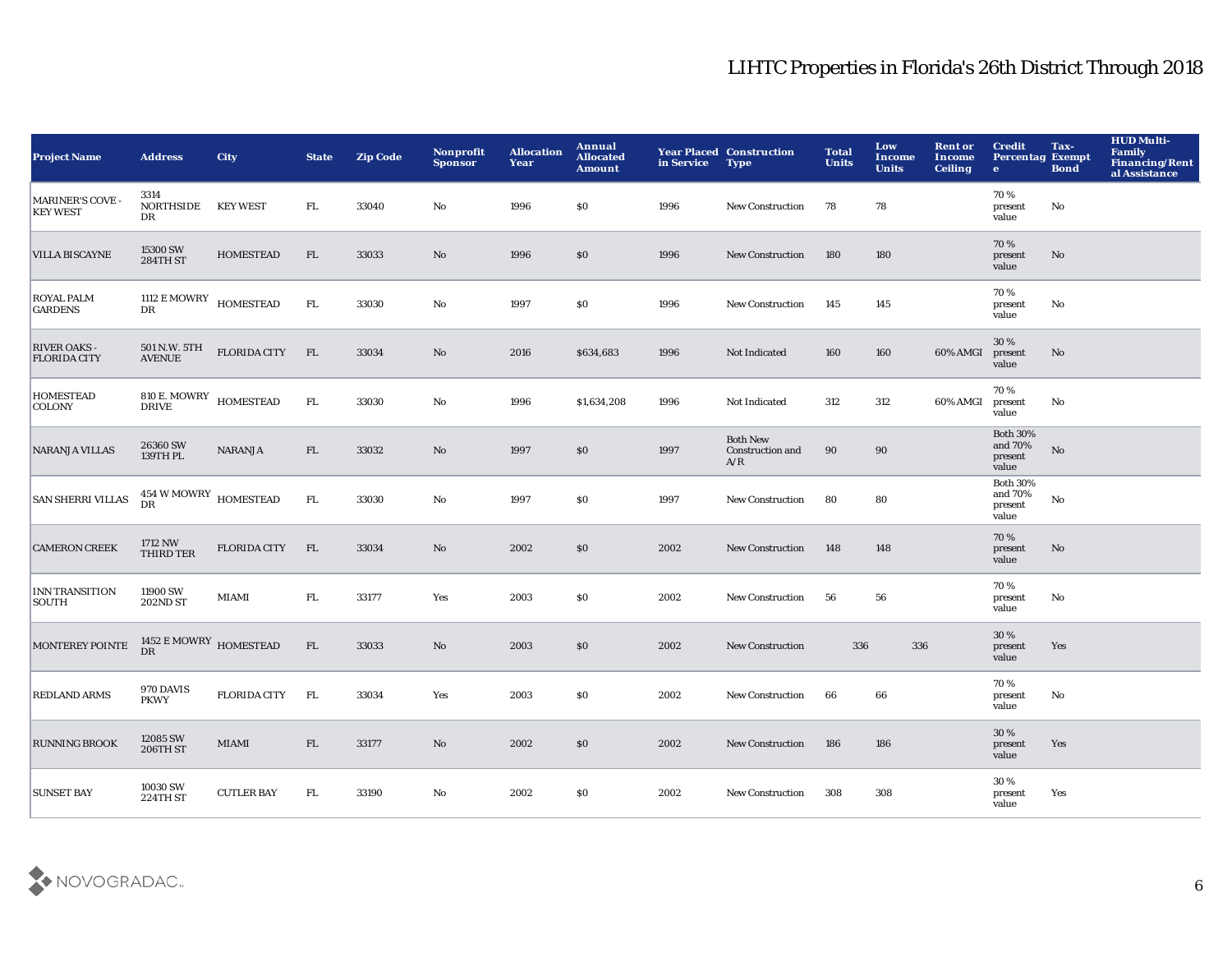| <b>Project Name</b>                        | <b>Address</b>                                       | <b>City</b>         | <b>State</b> | <b>Zip Code</b> | Nonprofit<br><b>Sponsor</b> | <b>Allocation</b><br>Year | <b>Annual</b><br><b>Allocated</b><br><b>Amount</b> | in Service | <b>Year Placed Construction</b><br><b>Type</b> | <b>Total</b><br><b>Units</b> | Low<br><b>Income</b><br><b>Units</b> | <b>Rent or</b><br><b>Income</b><br><b>Ceiling</b> | <b>Credit</b><br><b>Percentag Exempt</b><br>$\bullet$ | Tax-<br><b>Bond</b> | <b>HUD Multi-</b><br><b>Family</b><br><b>Financing/Rent</b><br>al Assistance |
|--------------------------------------------|------------------------------------------------------|---------------------|--------------|-----------------|-----------------------------|---------------------------|----------------------------------------------------|------------|------------------------------------------------|------------------------------|--------------------------------------|---------------------------------------------------|-------------------------------------------------------|---------------------|------------------------------------------------------------------------------|
| <b>MARINER'S COVE -</b><br><b>KEY WEST</b> | 3314<br><b>NORTHSIDE</b><br>DR                       | <b>KEY WEST</b>     | FL.          | 33040           | No                          | 1996                      | \$0                                                | 1996       | <b>New Construction</b>                        | 78                           | 78                                   |                                                   | 70 %<br>present<br>value                              | No                  |                                                                              |
| <b>VILLA BISCAYNE</b>                      | 15300 SW<br><b>284TH ST</b>                          | <b>HOMESTEAD</b>    | ${\rm FL}$   | 33033           | $\mathbf{N}\mathbf{o}$      | 1996                      | \$0                                                | 1996       | <b>New Construction</b>                        | 180                          | 180                                  |                                                   | 70%<br>present<br>value                               | No                  |                                                                              |
| <b>ROYAL PALM</b><br><b>GARDENS</b>        | $\stackrel{1112}{\sim}$ E MOWRY HOMESTEAD DR         |                     | ${\rm FL}$   | 33030           | $\mathbf{N}\mathbf{o}$      | 1997                      | \$0                                                | 1996       | <b>New Construction</b>                        | 145                          | 145                                  |                                                   | 70 %<br>present<br>value                              | No                  |                                                                              |
| <b>RIVER OAKS -</b><br><b>FLORIDA CITY</b> | 501 N.W. 5TH<br><b>AVENUE</b>                        | <b>FLORIDA CITY</b> | FL           | 33034           | No                          | 2016                      | \$634,683                                          | 1996       | Not Indicated                                  | 160                          | 160                                  | 60% AMGI                                          | 30 %<br>present<br>value                              | No                  |                                                                              |
| <b>HOMESTEAD</b><br><b>COLONY</b>          | $810$ E. $\rm{MOWRY}$ $\rm{HOMESTEAD}$               |                     | ${\rm FL}$   | 33030           | $\mathbf{N}\mathbf{o}$      | 1996                      | \$1,634,208                                        | 1996       | Not Indicated                                  | 312                          | 312                                  | 60% AMGI                                          | 70 %<br>present<br>value                              | No                  |                                                                              |
| <b>NARANJA VILLAS</b>                      | 26360 SW<br>139TH PL                                 | <b>NARANJA</b>      | FL.          | 33032           | No                          | 1997                      | \$0                                                | 1997       | <b>Both New</b><br>Construction and<br>A/R     | 90                           | 90                                   |                                                   | <b>Both 30%</b><br>and $70\%$<br>present<br>value     | No                  |                                                                              |
| <b>SAN SHERRI VILLAS</b>                   | $454\,\rm{W}\,\rm{MOWRY}\,\,$ HOMESTEAD<br><b>DR</b> |                     | FL.          | 33030           | No                          | 1997                      | \$0                                                | 1997       | <b>New Construction</b>                        | 80                           | 80                                   |                                                   | <b>Both 30%</b><br>and 70%<br>present<br>value        | No                  |                                                                              |
| <b>CAMERON CREEK</b>                       | 1712 NW<br><b>THIRD TER</b>                          | <b>FLORIDA CITY</b> | FL           | 33034           | No                          | 2002                      | \$0                                                | 2002       | <b>New Construction</b>                        | 148                          | 148                                  |                                                   | 70 %<br>present<br>value                              | No                  |                                                                              |
| <b>INN TRANSITION</b><br>SOUTH             | 11900 SW<br><b>202ND ST</b>                          | MIAMI               | ${\rm FL}$   | 33177           | Yes                         | 2003                      | \$0                                                | 2002       | <b>New Construction</b>                        | 56                           | 56                                   |                                                   | 70%<br>present<br>value                               | No                  |                                                                              |
| <b>MONTEREY POINTE</b>                     | $1452$ $\rm E~MOWRY$ $\rm HOMESTEAD$<br><b>DR</b>    |                     | FL           | 33033           | $\mathbf{N}\mathbf{o}$      | 2003                      | \$0                                                | 2002       | <b>New Construction</b>                        | 336                          |                                      | 336                                               | 30 %<br>present<br>value                              | Yes                 |                                                                              |
| <b>REDLAND ARMS</b>                        | 970 DAVIS<br><b>PKWY</b>                             | <b>FLORIDA CITY</b> | FL           | 33034           | Yes                         | 2003                      | \$0                                                | 2002       | <b>New Construction</b>                        | 66                           | 66                                   |                                                   | 70 %<br>present<br>value                              | No                  |                                                                              |
| <b>RUNNING BROOK</b>                       | 12085 SW<br>206TH ST                                 | <b>MIAMI</b>        | FL           | 33177           | $\mathbf{No}$               | 2002                      | \$0                                                | 2002       | <b>New Construction</b>                        | 186                          | 186                                  |                                                   | 30 %<br>present<br>value                              | Yes                 |                                                                              |
| <b>SUNSET BAY</b>                          | 10030 SW<br>224TH ST                                 | <b>CUTLER BAY</b>   | FL.          | 33190           | No                          | 2002                      | \$0                                                | 2002       | <b>New Construction</b>                        | 308                          | 308                                  |                                                   | 30 %<br>present<br>value                              | Yes                 |                                                                              |

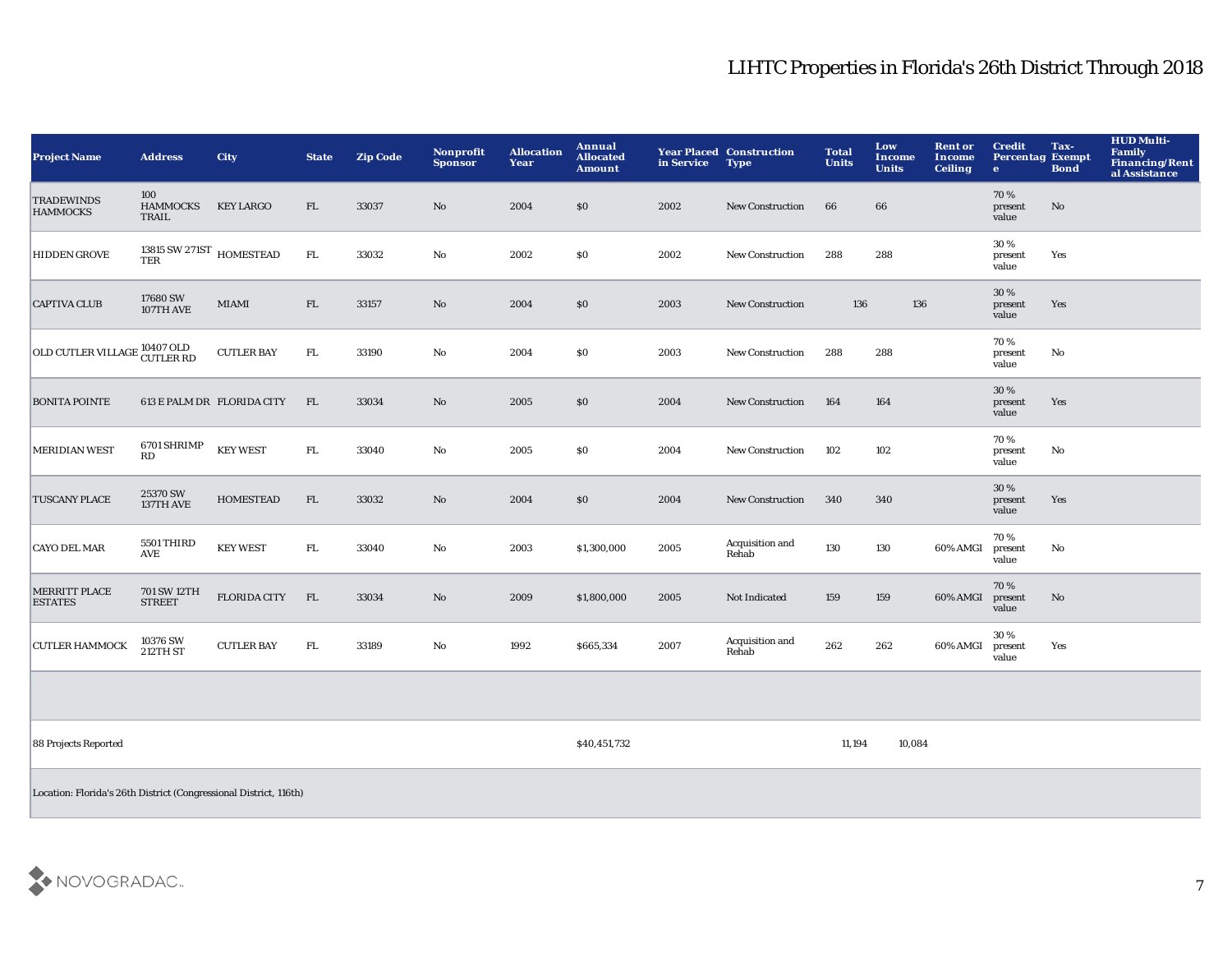| <b>Project Name</b>                                               | <b>Address</b>                              | <b>City</b>                | <b>State</b> | <b>Zip Code</b> | Nonprofit<br><b>Sponsor</b> | <b>Allocation</b><br>Year | Annual<br><b>Allocated</b><br><b>Amount</b> | in Service | <b>Year Placed Construction</b><br><b>Type</b> | <b>Total</b><br><b>Units</b> | Low<br>Income<br><b>Units</b> | <b>Rent or</b><br>Income<br><b>Ceiling</b> | <b>Credit</b><br><b>Percentag Exempt</b><br>$\bullet$ | Tax-<br><b>Bond</b> | <b>HUD Multi-</b><br>Family<br><b>Financing/Rent</b><br>al Assistance |
|-------------------------------------------------------------------|---------------------------------------------|----------------------------|--------------|-----------------|-----------------------------|---------------------------|---------------------------------------------|------------|------------------------------------------------|------------------------------|-------------------------------|--------------------------------------------|-------------------------------------------------------|---------------------|-----------------------------------------------------------------------|
| <b>TRADEWINDS</b><br><b>HAMMOCKS</b>                              | 100<br><b>HAMMOCKS</b><br>TRAIL             | <b>KEY LARGO</b>           | FL.          | 33037           | No                          | 2004                      | \$0                                         | 2002       | <b>New Construction</b>                        | 66                           | 66                            |                                            | 70%<br>present<br>value                               | No                  |                                                                       |
| <b>HIDDEN GROVE</b>                                               | 13815 SW 271ST $\,$ HOMESTEAD<br><b>TER</b> |                            | ${\rm FL}$   | 33032           | $\mathbf {No}$              | 2002                      | \$0                                         | 2002       | <b>New Construction</b>                        | 288                          | 288                           |                                            | 30 %<br>present<br>value                              | Yes                 |                                                                       |
| <b>CAPTIVA CLUB</b>                                               | 17680 SW<br>107TH AVE                       | MIAMI                      | ${\rm FL}$   | 33157           | $\mathbf {No}$              | 2004                      | $\$0$                                       | 2003       | New Construction                               | 136                          | 136                           |                                            | 30 %<br>present<br>value                              | Yes                 |                                                                       |
| OLD CUTLER VILLAGE 10407 OLD<br>CUTLER RD                         |                                             | <b>CUTLER BAY</b>          | FL           | 33190           | No                          | 2004                      | \$0                                         | 2003       | <b>New Construction</b>                        | 288                          | 288                           |                                            | 70%<br>present<br>value                               | No                  |                                                                       |
| <b>BONITA POINTE</b>                                              |                                             | 613 E PALM DR FLORIDA CITY | FL           | 33034           | No                          | 2005                      | \$0                                         | 2004       | New Construction                               | 164                          | 164                           |                                            | 30 %<br>present<br>value                              | Yes                 |                                                                       |
| <b>MERIDIAN WEST</b>                                              | 6701 SHRIMP<br>$\mathbf{R}\mathbf{D}$       | <b>KEY WEST</b>            | ${\rm FL}$   | 33040           | $\mathbf{No}$               | 2005                      | \$0                                         | 2004       | New Construction                               | 102                          | 102                           |                                            | 70%<br>present<br>value                               | $\mathbf{No}$       |                                                                       |
| <b>TUSCANY PLACE</b>                                              | 25370 SW<br>137TH AVE                       | <b>HOMESTEAD</b>           | FL           | 33032           | No                          | 2004                      | \$0                                         | 2004       | <b>New Construction</b>                        | 340                          | 340                           |                                            | 30 %<br>present<br>value                              | Yes                 |                                                                       |
| <b>CAYO DEL MAR</b>                                               | 5501 THIRD<br>AVE                           | <b>KEY WEST</b>            | FL.          | 33040           | No                          | 2003                      | \$1,300,000                                 | 2005       | Acquisition and<br>Rehab                       | 130                          | 130                           | 60% AMGI                                   | 70%<br>present<br>value                               | No                  |                                                                       |
| <b>MERRITT PLACE</b><br><b>ESTATES</b>                            | 701 SW 12TH<br><b>STREET</b>                | <b>FLORIDA CITY</b>        | FL           | 33034           | $\mathbf{N}\mathbf{o}$      | 2009                      | \$1,800,000                                 | 2005       | Not Indicated                                  | 159                          | 159                           | 60% AMGI                                   | 70%<br>present<br>value                               | No                  |                                                                       |
| <b>CUTLER HAMMOCK</b>                                             | 10376 SW<br><b>212TH ST</b>                 | <b>CUTLER BAY</b>          | FL.          | 33189           | $\mathbf{No}$               | 1992                      | \$665,334                                   | 2007       | Acquisition and<br>Rehab                       | 262                          | 262                           | 60% AMGI                                   | 30%<br>present<br>value                               | Yes                 |                                                                       |
|                                                                   |                                             |                            |              |                 |                             |                           |                                             |            |                                                |                              |                               |                                            |                                                       |                     |                                                                       |
| 88 Projects Reported                                              |                                             |                            |              |                 |                             |                           | \$40,451,732                                |            |                                                | 11,194                       | 10,084                        |                                            |                                                       |                     |                                                                       |
| Location: Florida's 26th District (Congressional District, 116th) |                                             |                            |              |                 |                             |                           |                                             |            |                                                |                              |                               |                                            |                                                       |                     |                                                                       |